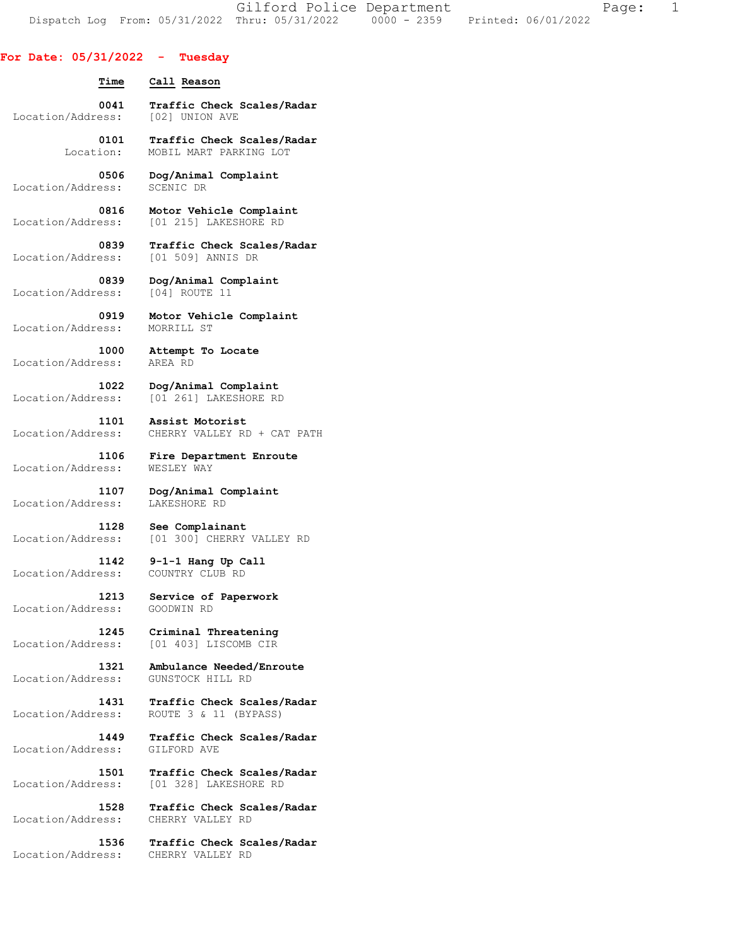Gilford Police Department The Page: 1 Dispatch Log From: 05/31/2022 Thru: 05/31/2022 0000 - 2359 Printed: 06/01/2022

## **For Date: 05/31/2022 - Tuesday**

| Time                              | Call Reason                                         |
|-----------------------------------|-----------------------------------------------------|
| 0041                              | Traffic Check Scales/Radar                          |
| Location/Address:                 | [02] UNION AVE                                      |
| 0101                              | Traffic Check Scales/Radar                          |
| Location:                         | MOBIL MART PARKING LOT                              |
| 0506                              | Dog/Animal Complaint                                |
| Location/Address:                 | SCENIC DR                                           |
| 0816                              | Motor Vehicle Complaint                             |
| Location/Address:                 | [01 215] LAKESHORE RD                               |
| 0839                              | Traffic Check Scales/Radar                          |
| Location/Address:                 | [01 509] ANNIS DR                                   |
| 0839                              | Dog/Animal Complaint                                |
| Location/Address:                 | [04] ROUTE 11                                       |
| 0919                              | Motor Vehicle Complaint                             |
| Location/Address:                 | MORRILL ST                                          |
| 1000                              | Attempt To Locate                                   |
| Location/Address:                 | AREA RD                                             |
| 1022                              | Dog/Animal Complaint                                |
| Location/Address:                 | [01 261] LAKESHORE RD                               |
| 1101                              | Assist Motorist                                     |
| Location/Address:                 | CHERRY VALLEY RD + CAT PATH                         |
| 1106                              | Fire Department Enroute                             |
| Location/Address:                 | WESLEY WAY                                          |
| 1107                              | Dog/Animal Complaint                                |
| Location/Address:                 | LAKESHORE RD                                        |
| 1128                              | See Complainant                                     |
| Location/Address:                 | [01 300] CHERRY VALLEY RD                           |
| 1142                              | 9-1-1 Hang Up Call                                  |
| Location/Address:                 | COUNTRY CLUB RD                                     |
| 1213                              | Service of Paperwork                                |
| Location/Address:                 | GOODWIN RD                                          |
| Location/Address:                 | 1245 Criminal Threatening<br>[01 403] LISCOMB CIR   |
| 1321                              | Ambulance Needed/Enroute                            |
| Location/Address:                 | GUNSTOCK HILL RD                                    |
| 1431                              | Traffic Check Scales/Radar                          |
| Location/Address:                 | ROUTE 3 & 11 (BYPASS)                               |
| 1449                              | Traffic Check Scales/Radar                          |
| Location/Address:                 | GILFORD AVE                                         |
| 1501<br>Location/Address:<br>1528 | Traffic Check Scales/Radar<br>[01 328] LAKESHORE RD |
| Location/Address:                 | Traffic Check Scales/Radar<br>CHERRY VALLEY RD      |
| 1536                              | Traffic Check Scales/Radar                          |
| Location/Address:                 | CHERRY VALLEY RD                                    |
|                                   |                                                     |